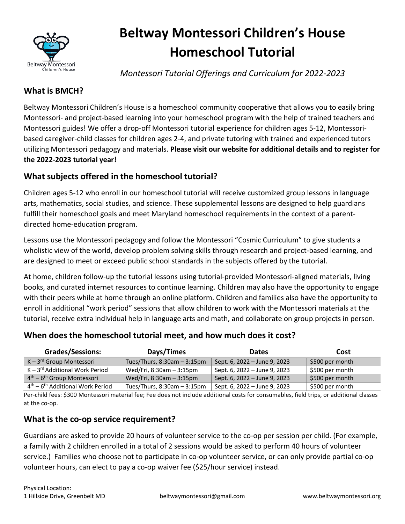

# **Beltway Montessori Children's House Homeschool Tutorial**

*Montessori Tutorial Offerings and Curriculum for 2022-2023*

# **What is BMCH?**

Beltway Montessori Children's House is a homeschool community cooperative that allows you to easily bring Montessori- and project-based learning into your homeschool program with the help of trained teachers and Montessori guides! We offer a drop-off Montessori tutorial experience for children ages 5-12, Montessoribased caregiver-child classes for children ages 2-4, and private tutoring with trained and experienced tutors utilizing Montessori pedagogy and materials. **Please visit our website for additional details and to register for the 2022-2023 tutorial year!**

# **What subjects offered in the homeschool tutorial?**

Children ages 5-12 who enroll in our homeschool tutorial will receive customized group lessons in language arts, mathematics, social studies, and science. These supplemental lessons are designed to help guardians fulfill their homeschool goals and meet Maryland homeschool requirements in the context of a parentdirected home-education program.

Lessons use the Montessori pedagogy and follow the Montessori "Cosmic Curriculum" to give students a wholistic view of the world, develop problem solving skills through research and project-based learning, and are designed to meet or exceed public school standards in the subjects offered by the tutorial.

At home, children follow-up the tutorial lessons using tutorial-provided Montessori-aligned materials, living books, and curated internet resources to continue learning. Children may also have the opportunity to engage with their peers while at home through an online platform. Children and families also have the opportunity to enroll in additional "work period" sessions that allow children to work with the Montessori materials at the tutorial, receive extra individual help in language arts and math, and collaborate on group projects in person.

# **When does the homeschool tutorial meet, and how much does it cost?**

| <b>Grades/Sessions:</b>             | Days/Times                    | <b>Dates</b>                 | Cost            |
|-------------------------------------|-------------------------------|------------------------------|-----------------|
| $K - 3^{rd}$ Group Montessori       | Tues/Thurs, $8:30am - 3:15pm$ | Sept. 6, 2022 - June 9, 2023 | \$500 per month |
| $K - 3^{rd}$ Additional Work Period | Wed/Fri, 8:30am - 3:15pm      | Sept. 6, 2022 – June 9, 2023 | \$500 per month |
| $4th - 6th$ Group Montessori        | Wed/Fri, 8:30am - 3:15pm      | Sept. 6, 2022 - June 9, 2023 | \$500 per month |
| $4th - 6th$ Additional Work Period  | Tues/Thurs, 8:30am - 3:15pm   | Sept. 6, 2022 – June 9, 2023 | \$500 per month |

Per-child fees: \$300 Montessori material fee; Fee does not include additional costs for consumables, field trips, or additional classes at the co-op.

# **What is the co-op service requirement?**

Guardians are asked to provide 20 hours of volunteer service to the co-op per session per child. (For example, a family with 2 children enrolled in a total of 2 sessions would be asked to perform 40 hours of volunteer service.) Families who choose not to participate in co-op volunteer service, or can only provide partial co-op volunteer hours, can elect to pay a co-op waiver fee (\$25/hour service) instead.